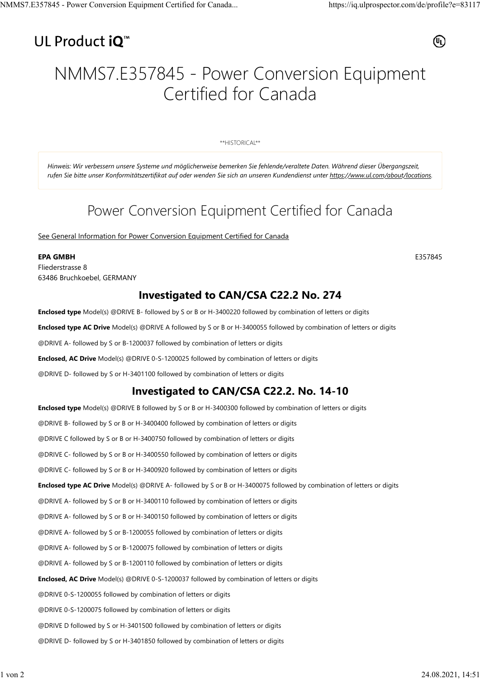## UL Product iQ<sup>™</sup>



# NMMS7.E357845 - Power Conversion Equipment Certified for Canada

\*\*HISTORICAL\*\*

*Hinweis: Wir verbessern unsere Systeme und möglicherweise bemerken Sie fehlende/veraltete Daten. Während dieser Übergangszeit, rufen Sie bitte unser Konformitätszertifikat auf oder wenden Sie sich an unseren Kundendienst unter https://www.ul.com/about/locations.*

## Power Conversion Equipment Certified for Canada

See General Information for Power Conversion Equipment Certified for Canada

#### **EPA GMBH** E357845

Fliederstrasse 8 63486 Bruchkoebel, GERMANY

### **Investigated to CAN/CSA C22.2 No. 274**

**Enclosed type** Model(s) @DRIVE B- followed by S or B or H-3400220 followed by combination of letters or digits

**Enclosed type AC Drive** Model(s) @DRIVE A followed by S or B or H-3400055 followed by combination of letters or digits

@DRIVE A- followed by S or B-1200037 followed by combination of letters or digits

**Enclosed, AC Drive** Model(s) @DRIVE 0-S-1200025 followed by combination of letters or digits

@DRIVE D- followed by S or H-3401100 followed by combination of letters or digits

### **Investigated to CAN/CSA C22.2. No. 14-10**

**Enclosed type** Model(s) @DRIVE B followed by S or B or H-3400300 followed by combination of letters or digits @DRIVE B- followed by S or B or H-3400400 followed by combination of letters or digits @DRIVE C followed by S or B or H-3400750 followed by combination of letters or digits @DRIVE C- followed by S or B or H-3400550 followed by combination of letters or digits @DRIVE C- followed by S or B or H-3400920 followed by combination of letters or digits **Enclosed type AC Drive** Model(s) @DRIVE A- followed by S or B or H-3400075 followed by combination of letters or digits @DRIVE A- followed by S or B or H-3400110 followed by combination of letters or digits @DRIVE A- followed by S or B or H-3400150 followed by combination of letters or digits @DRIVE A- followed by S or B-1200055 followed by combination of letters or digits @DRIVE A- followed by S or B-1200075 followed by combination of letters or digits @DRIVE A- followed by S or B-1200110 followed by combination of letters or digits **Enclosed, AC Drive** Model(s) @DRIVE 0-S-1200037 followed by combination of letters or digits @DRIVE 0-S-1200055 followed by combination of letters or digits @DRIVE 0-S-1200075 followed by combination of letters or digits @DRIVE D followed by S or H-3401500 followed by combination of letters or digits @DRIVE D- followed by S or H-3401850 followed by combination of letters or digits